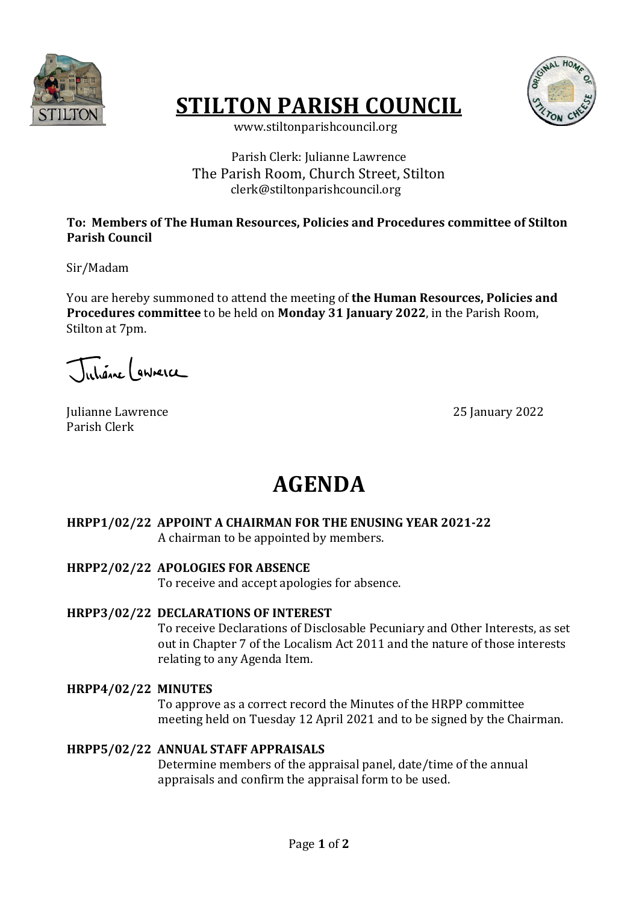

# **STILTON PARISH COUNCIL**



 www.stiltonparishcouncil.org

### Parish Clerk: Julianne Lawrence The Parish Room, Church Street. Stilton clerk@stiltonparishcouncil.org

### To: Members of The Human Resources, Policies and Procedures committee of Stilton **Parish Council**

Sir/Madam

You are hereby summoned to attend the meeting of **the Human Resources, Policies and Procedures committee** to be held on **Monday** 31 **January** 2022, in the Parish Room, Stilton at 7pm.

Juliane annerce

Julianne Lawrence 25 January 2022 Parish Clerk

# **AGENDA**

# **HRPP1/02/22 APPOINT A CHAIRMAN FOR THE ENUSING YEAR 2021-22**

A chairman to be appointed by members.

#### **HRPP2/02/22 APOLOGIES FOR ABSENCE**

To receive and accept apologies for absence.

#### **HRPP3/02/22 DECLARATIONS OF INTEREST**

To receive Declarations of Disclosable Pecuniary and Other Interests, as set out in Chapter 7 of the Localism Act 2011 and the nature of those interests relating to any Agenda Item.

# **HRPP4/02/22 MINUTES**

To approve as a correct record the Minutes of the HRPP committee meeting held on Tuesday 12 April 2021 and to be signed by the Chairman.

# **HRPP5/02/22 ANNUAL STAFF APPRAISALS**

Determine members of the appraisal panel, date/time of the annual appraisals and confirm the appraisal form to be used.